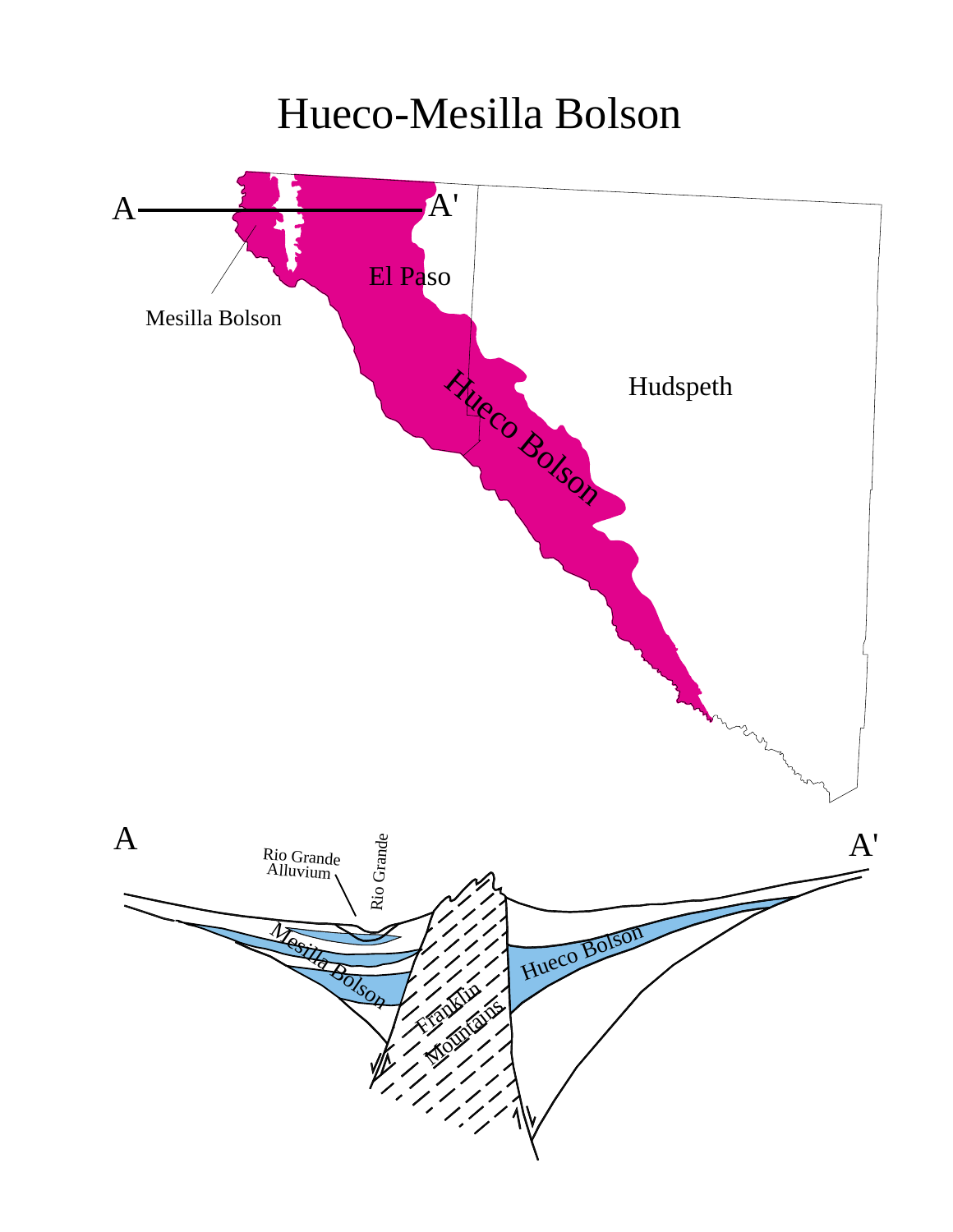## Hueco-Mesilla Bolson